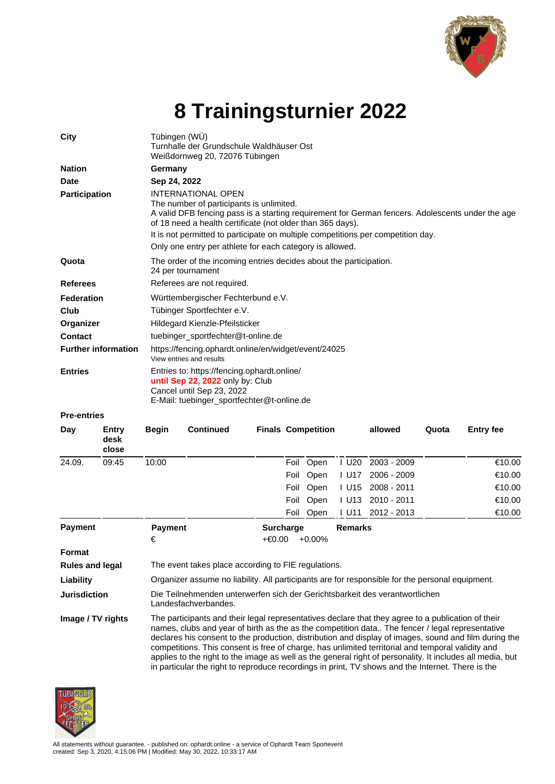

## **8 Trainingsturnier 2022**

| City                       |                        | Tübingen (WÜ)<br>Turnhalle der Grundschule Waldhäuser Ost<br>Weißdornweg 20, 72076 Tübingen                                                                                                                                                                                                                                                                                      |                  |  |      |                           |                     |             |       |                  |  |  |
|----------------------------|------------------------|----------------------------------------------------------------------------------------------------------------------------------------------------------------------------------------------------------------------------------------------------------------------------------------------------------------------------------------------------------------------------------|------------------|--|------|---------------------------|---------------------|-------------|-------|------------------|--|--|
| <b>Nation</b>              |                        | Germany                                                                                                                                                                                                                                                                                                                                                                          |                  |  |      |                           |                     |             |       |                  |  |  |
| <b>Date</b>                |                        | Sep 24, 2022                                                                                                                                                                                                                                                                                                                                                                     |                  |  |      |                           |                     |             |       |                  |  |  |
| <b>Participation</b>       |                        | INTERNATIONAL OPEN<br>The number of participants is unlimited.<br>A valid DFB fencing pass is a starting requirement for German fencers. Adolescents under the age<br>of 18 need a health certificate (not older than 365 days).<br>It is not permitted to participate on multiple competitions per competition day.<br>Only one entry per athlete for each category is allowed. |                  |  |      |                           |                     |             |       |                  |  |  |
| Quota                      |                        | The order of the incoming entries decides about the participation.<br>24 per tournament                                                                                                                                                                                                                                                                                          |                  |  |      |                           |                     |             |       |                  |  |  |
| <b>Referees</b>            |                        | Referees are not required.                                                                                                                                                                                                                                                                                                                                                       |                  |  |      |                           |                     |             |       |                  |  |  |
| Federation                 |                        | Württembergischer Fechterbund e.V.                                                                                                                                                                                                                                                                                                                                               |                  |  |      |                           |                     |             |       |                  |  |  |
| Club                       |                        | Tübinger Sportfechter e.V.                                                                                                                                                                                                                                                                                                                                                       |                  |  |      |                           |                     |             |       |                  |  |  |
| Organizer                  |                        | Hildegard Kienzle-Pfeilsticker                                                                                                                                                                                                                                                                                                                                                   |                  |  |      |                           |                     |             |       |                  |  |  |
| Contact                    |                        | tuebinger_sportfechter@t-online.de                                                                                                                                                                                                                                                                                                                                               |                  |  |      |                           |                     |             |       |                  |  |  |
| <b>Further information</b> |                        | https://fencing.ophardt.online/en/widget/event/24025<br>View entries and results                                                                                                                                                                                                                                                                                                 |                  |  |      |                           |                     |             |       |                  |  |  |
| <b>Entries</b>             |                        | Entries to: https://fencing.ophardt.online/<br>until Sep 22, 2022 only by: Club<br>Cancel until Sep 23, 2022<br>E-Mail: tuebinger_sportfechter@t-online.de                                                                                                                                                                                                                       |                  |  |      |                           |                     |             |       |                  |  |  |
| <b>Pre-entries</b>         |                        |                                                                                                                                                                                                                                                                                                                                                                                  |                  |  |      |                           |                     |             |       |                  |  |  |
| Day                        | Entry<br>desk<br>close | <b>Begin</b>                                                                                                                                                                                                                                                                                                                                                                     | <b>Continued</b> |  |      | <b>Finals Competition</b> |                     | allowed     | Quota | <b>Entry fee</b> |  |  |
| 24.09.                     | 09:45                  | 10:00                                                                                                                                                                                                                                                                                                                                                                            |                  |  |      | Foil Open                 | $I$ U <sub>20</sub> | 2003 - 2009 |       | €10.00           |  |  |
|                            |                        |                                                                                                                                                                                                                                                                                                                                                                                  |                  |  | Foil | Open                      | I U17               | 2006 - 2009 |       | €10.00           |  |  |
|                            |                        |                                                                                                                                                                                                                                                                                                                                                                                  |                  |  | Foil | Open                      | I U15               | 2008 - 2011 |       | €10.00           |  |  |

|                        |                                                                                                                                                                                                                                                                                                                                                                                                                                                                                                                                  | Foil Open                               | LU11 2012 - 2013 | €10.00 |  |  |  |  |
|------------------------|----------------------------------------------------------------------------------------------------------------------------------------------------------------------------------------------------------------------------------------------------------------------------------------------------------------------------------------------------------------------------------------------------------------------------------------------------------------------------------------------------------------------------------|-----------------------------------------|------------------|--------|--|--|--|--|
| <b>Payment</b>         | <b>Payment</b><br>€                                                                                                                                                                                                                                                                                                                                                                                                                                                                                                              | <b>Surcharge</b><br>+€0.00<br>$+0.00\%$ | <b>Remarks</b>   |        |  |  |  |  |
| Format                 |                                                                                                                                                                                                                                                                                                                                                                                                                                                                                                                                  |                                         |                  |        |  |  |  |  |
| <b>Rules and legal</b> | The event takes place according to FIE regulations.                                                                                                                                                                                                                                                                                                                                                                                                                                                                              |                                         |                  |        |  |  |  |  |
| Liability              | Organizer assume no liability. All participants are for responsible for the personal equipment.                                                                                                                                                                                                                                                                                                                                                                                                                                  |                                         |                  |        |  |  |  |  |
| <b>Jurisdiction</b>    | Die Teilnehmenden unterwerfen sich der Gerichtsbarkeit des verantwortlichen<br>Landesfachverbandes.                                                                                                                                                                                                                                                                                                                                                                                                                              |                                         |                  |        |  |  |  |  |
| Image / TV rights      | The participants and their legal representatives declare that they agree to a publication of their<br>names, clubs and year of birth as the as the competition data The fencer / legal representative<br>declares his consent to the production, distribution and display of images, sound and film during the<br>competitions. This consent is free of charge, has unlimited territorial and temporal validity and<br>applies to the right to the image as well as the general right of personality. It includes all media, but |                                         |                  |        |  |  |  |  |

in particular the right to reproduce recordings in print, TV shows and the Internet. There is the

Foil Open I U13 2010 - 2011 €10.00